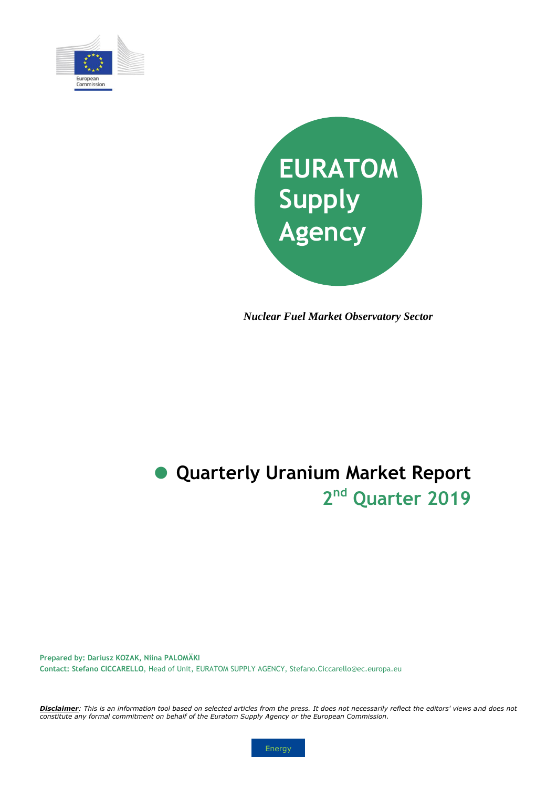



*Nuclear Fuel Market Observatory Sector*

# **2 nd Quarter 2019 Quarterly Uranium Market Report**

**Prepared by: Dariusz KOZAK, Niina PALOMÄKI Contact: Stefano CICCARELLO**, Head of Unit, EURATOM SUPPLY AGENCY, Stefano.Ciccarello@ec.europa.eu

*Disclaimer: This is an information tool based on selected articles from the press. It does not necessarily reflect the editors' views and does not constitute any formal commitment on behalf of the Euratom Supply Agency or the European Commission.* 

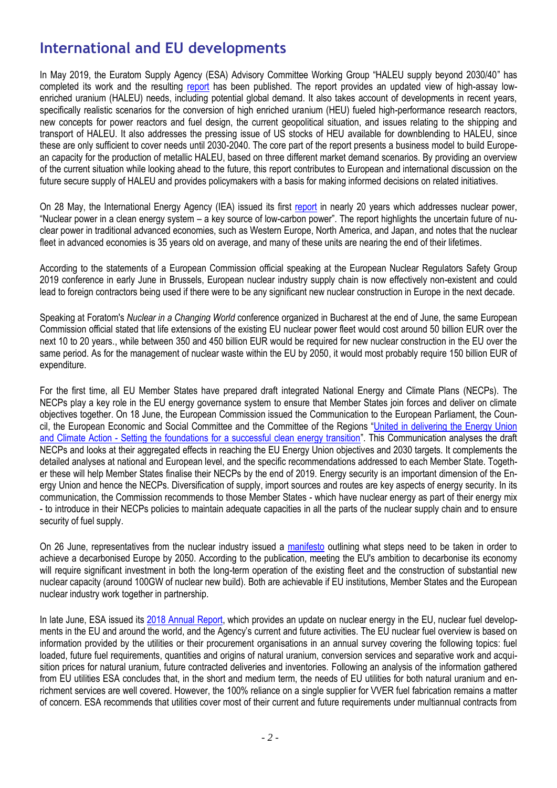### **International and EU developments**

In May 2019, the Euratom Supply Agency (ESA) Advisory Committee Working Group "HALEU supply beyond 2030/40" has completed its work and the resulting [report](http://ec.europa.eu/euratom/docs/ESA_HALEU_report_2019.pdf) has been published. The report provides an updated view of high-assay lowenriched uranium (HALEU) needs, including potential global demand. It also takes account of developments in recent years, specifically realistic scenarios for the conversion of high enriched uranium (HEU) fueled high-performance research reactors, new concepts for power reactors and fuel design, the current geopolitical situation, and issues relating to the shipping and transport of HALEU. It also addresses the pressing issue of US stocks of HEU available for downblending to HALEU, since these are only sufficient to cover needs until 2030-2040. The core part of the report presents a business model to build European capacity for the production of metallic HALEU, based on three different market demand scenarios. By providing an overview of the current situation while looking ahead to the future, this report contributes to European and international discussion on the future secure supply of HALEU and provides policymakers with a basis for making informed decisions on related initiatives.

On 28 May, the International Energy Agency (IEA) issued its first [report](https://webstore.iea.org/nuclear-power-in-a-clean-energy-system) in nearly 20 years which addresses nuclear power, "Nuclear power in a clean energy system – a key source of low-carbon power". The report highlights the uncertain future of nuclear power in traditional advanced economies, such as Western Europe, North America, and Japan, and notes that the nuclear fleet in advanced economies is 35 years old on average, and many of these units are nearing the end of their lifetimes.

According to the statements of a European Commission official speaking at the European Nuclear Regulators Safety Group 2019 conference in early June in Brussels, European nuclear industry supply chain is now effectively non-existent and could lead to foreign contractors being used if there were to be any significant new nuclear construction in Europe in the next decade.

Speaking at Foratom's *Nuclear in a Changing World* conference organized in Bucharest at the end of June, the same European Commission official stated that life extensions of the existing EU nuclear power fleet would cost around 50 billion EUR over the next 10 to 20 years., while between 350 and 450 billion EUR would be required for new nuclear construction in the EU over the same period. As for the management of nuclear waste within the EU by 2050, it would most probably require 150 billion EUR of expenditure.

For the first time, all EU Member States have prepared draft integrated National Energy and Climate Plans (NECPs). The NECPs play a key role in the EU energy governance system to ensure that Member States join forces and deliver on climate objectives together. On 18 June, the European Commission issued the Communication to the European Parliament, the Council, the European Economic and Social Committee and the Committee of the Regions "[United in delivering the Energy Union](https://ec.europa.eu/energy/en/content/communication-assessing-draft-necps)  and Climate Action - [Setting the foundations for a successful clean energy transition](https://ec.europa.eu/energy/en/content/communication-assessing-draft-necps)". This Communication analyses the draft NECPs and looks at their aggregated effects in reaching the EU Energy Union objectives and 2030 targets. It complements the detailed analyses at national and European level, and the specific recommendations addressed to each Member State. Together these will help Member States finalise their NECPs by the end of 2019. Energy security is an important dimension of the Energy Union and hence the NECPs. Diversification of supply, import sources and routes are key aspects of energy security. In its communication, the Commission recommends to those Member States - which have nuclear energy as part of their energy mix - to introduce in their NECPs policies to maintain adequate capacities in all the parts of the nuclear supply chain and to ensure security of fuel supply.

On 26 June, representatives from the nuclear industry issued a [manifesto](https://www.foratom.org/downloads/long-term-operation-of-the-existing-eu-nuclear-fleet/?wpdmdl=42847&refresh=5d259fa394e2f1562746787) outlining what steps need to be taken in order to achieve a decarbonised Europe by 2050. According to the publication, meeting the EU's ambition to decarbonise its economy will require significant investment in both the long-term operation of the existing fleet and the construction of substantial new nuclear capacity (around 100GW of nuclear new build). Both are achievable if EU institutions, Member States and the European nuclear industry work together in partnership.

In late June, ESA issued its [2018 Annual Report,](http://ec.europa.eu/euratom/ar/last.pdf) which provides an update on nuclear energy in the EU, nuclear fuel developments in the EU and around the world, and the Agency's current and future activities. The EU nuclear fuel overview is based on information provided by the utilities or their procurement organisations in an annual survey covering the following topics: fuel loaded, future fuel requirements, quantities and origins of natural uranium, conversion services and separative work and acquisition prices for natural uranium, future contracted deliveries and inventories. Following an analysis of the information gathered from EU utilities ESA concludes that, in the short and medium term, the needs of EU utilities for both natural uranium and enrichment services are well covered. However, the 100% reliance on a single supplier for VVER fuel fabrication remains a matter of concern. ESA recommends that utilities cover most of their current and future requirements under multiannual contracts from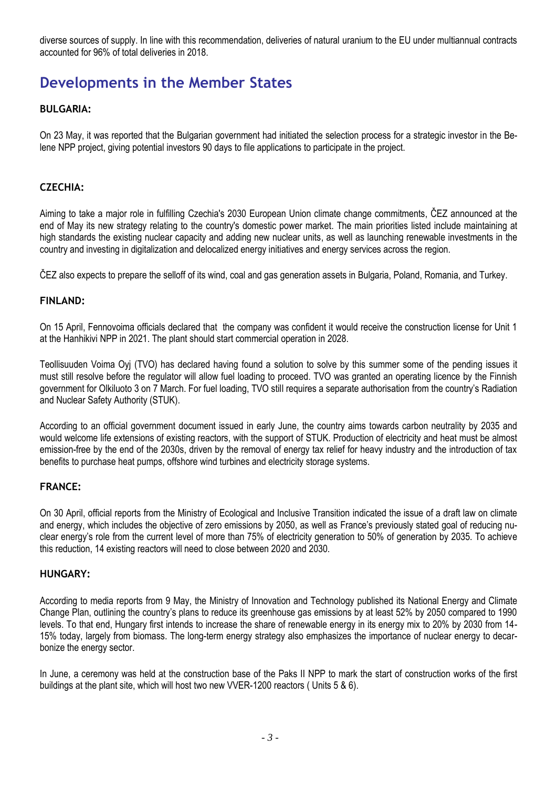diverse sources of supply. In line with this recommendation, deliveries of natural uranium to the EU under multiannual contracts accounted for 96% of total deliveries in 2018.

### **Developments in the Member States**

#### **BULGARIA:**

On 23 May, it was reported that the Bulgarian government had initiated the selection process for a strategic investor in the Belene NPP project, giving potential investors 90 days to file applications to participate in the project.

#### **CZECHIA:**

Aiming to take a major role in fulfilling Czechia's 2030 European Union climate change commitments, ČEZ announced at the end of May its new strategy relating to the country's domestic power market. The main priorities listed include maintaining at high standards the existing nuclear capacity and adding new nuclear units, as well as launching renewable investments in the country and investing in digitalization and delocalized energy initiatives and energy services across the region.

ČEZ also expects to prepare the selloff of its wind, coal and gas generation assets in Bulgaria, Poland, Romania, and Turkey.

#### **FINLAND:**

On 15 April, Fennovoima officials declared that the company was confident it would receive the construction license for Unit 1 at the Hanhikivi NPP in 2021. The plant should start commercial operation in 2028.

Teollisuuden Voima Oyj (TVO) has declared having found a solution to solve by this summer some of the pending issues it must still resolve before the regulator will allow fuel loading to proceed. TVO was granted an operating licence by the Finnish government for Olkiluoto 3 on 7 March. For fuel loading, TVO still requires a separate authorisation from the country's Radiation and Nuclear Safety Authority (STUK).

According to an official government document issued in early June, the country aims towards carbon neutrality by 2035 and would welcome life extensions of existing reactors, with the support of STUK. Production of electricity and heat must be almost emission-free by the end of the 2030s, driven by the removal of energy tax relief for heavy industry and the introduction of tax benefits to purchase heat pumps, offshore wind turbines and electricity storage systems.

#### **FRANCE:**

On 30 April, official reports from the Ministry of Ecological and Inclusive Transition indicated the issue of a draft law on climate and energy, which includes the objective of zero emissions by 2050, as well as France's previously stated goal of reducing nuclear energy's role from the current level of more than 75% of electricity generation to 50% of generation by 2035. To achieve this reduction, 14 existing reactors will need to close between 2020 and 2030.

#### **HUNGARY:**

According to media reports from 9 May, the Ministry of Innovation and Technology published its National Energy and Climate Change Plan, outlining the country's plans to reduce its greenhouse gas emissions by at least 52% by 2050 compared to 1990 levels. To that end, Hungary first intends to increase the share of renewable energy in its energy mix to 20% by 2030 from 14- 15% today, largely from biomass. The long-term energy strategy also emphasizes the importance of nuclear energy to decarbonize the energy sector.

In June, a ceremony was held at the construction base of the Paks II NPP to mark the start of construction works of the first buildings at the plant site, which will host two new VVER-1200 reactors ( Units 5 & 6).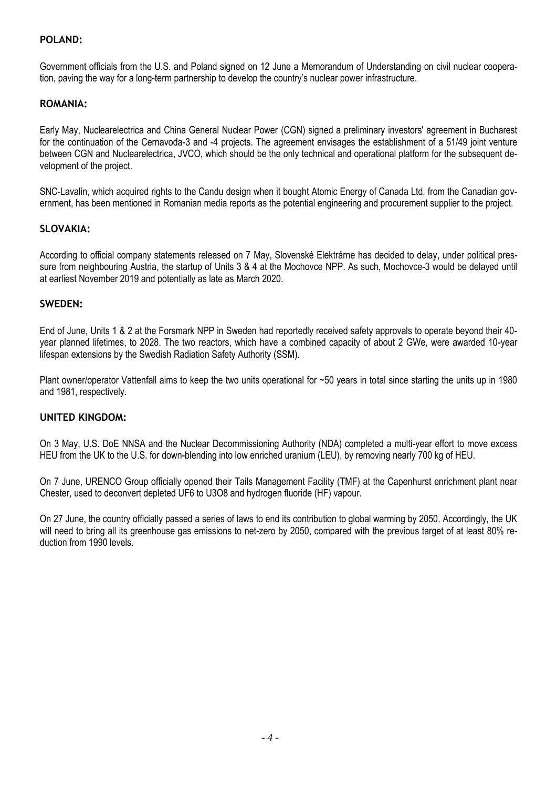#### **POLAND:**

Government officials from the U.S. and Poland signed on 12 June a Memorandum of Understanding on civil nuclear cooperation, paving the way for a long-term partnership to develop the country's nuclear power infrastructure.

#### **ROMANIA:**

Early May, Nuclearelectrica and China General Nuclear Power (CGN) signed a preliminary investors' agreement in Bucharest for the continuation of the Cernavoda-3 and -4 projects. The agreement envisages the establishment of a 51/49 joint venture between CGN and Nuclearelectrica, JVCO, which should be the only technical and operational platform for the subsequent development of the project.

SNC-Lavalin, which acquired rights to the Candu design when it bought Atomic Energy of Canada Ltd. from the Canadian government, has been mentioned in Romanian media reports as the potential engineering and procurement supplier to the project.

#### **SLOVAKIA:**

According to official company statements released on 7 May, Slovenské Elektrárne has decided to delay, under political pressure from neighbouring Austria, the startup of Units 3 & 4 at the Mochovce NPP. As such, Mochovce-3 would be delayed until at earliest November 2019 and potentially as late as March 2020.

#### **SWEDEN:**

End of June, Units 1 & 2 at the Forsmark NPP in Sweden had reportedly received safety approvals to operate beyond their 40 year planned lifetimes, to 2028. The two reactors, which have a combined capacity of about 2 GWe, were awarded 10-year lifespan extensions by the Swedish Radiation Safety Authority (SSM).

Plant owner/operator Vattenfall aims to keep the two units operational for ~50 years in total since starting the units up in 1980 and 1981, respectively.

#### **UNITED KINGDOM:**

On 3 May, U.S. DoE NNSA and the Nuclear Decommissioning Authority (NDA) completed a multi-year effort to move excess HEU from the UK to the U.S. for down-blending into low enriched uranium (LEU), by removing nearly 700 kg of HEU.

On 7 June, URENCO Group officially opened their Tails Management Facility (TMF) at the Capenhurst enrichment plant near Chester, used to deconvert depleted UF6 to U3O8 and hydrogen fluoride (HF) vapour.

On 27 June, the country officially passed a series of laws to end its contribution to global warming by 2050. Accordingly, the UK will need to bring all its greenhouse gas emissions to net-zero by 2050, compared with the previous target of at least 80% reduction from 1990 levels.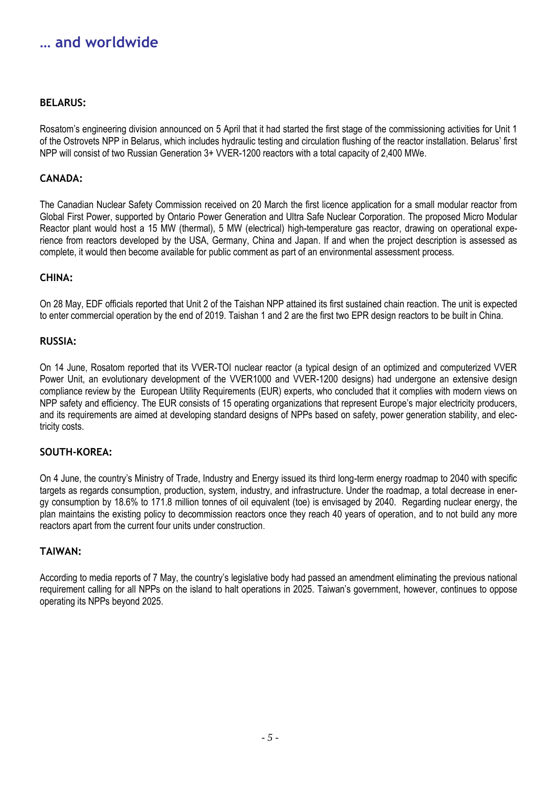### **… and worldwide**

#### **BELARUS:**

Rosatom's engineering division announced on 5 April that it had started the first stage of the commissioning activities for Unit 1 of the Ostrovets NPP in Belarus, which includes hydraulic testing and circulation flushing of the reactor installation. Belarus' first NPP will consist of two Russian Generation 3+ VVER-1200 reactors with a total capacity of 2,400 MWe.

#### **CANADA:**

The Canadian Nuclear Safety Commission received on 20 March the first licence application for a small modular reactor from Global First Power, supported by Ontario Power Generation and Ultra Safe Nuclear Corporation. The proposed Micro Modular Reactor plant would host a 15 MW (thermal), 5 MW (electrical) high-temperature gas reactor, drawing on operational experience from reactors developed by the USA, Germany, China and Japan. If and when the project description is assessed as complete, it would then become available for public comment as part of an environmental assessment process.

#### **CHINA:**

On 28 May, EDF officials reported that Unit 2 of the Taishan NPP attained its first sustained chain reaction. The unit is expected to enter commercial operation by the end of 2019. Taishan 1 and 2 are the first two EPR design reactors to be built in China.

#### **RUSSIA:**

On 14 June, Rosatom reported that its VVER-TOI nuclear reactor (a typical design of an optimized and computerized VVER Power Unit, an evolutionary development of the VVER1000 and VVER-1200 designs) had undergone an extensive design compliance review by the European Utility Requirements (EUR) experts, who concluded that it complies with modern views on NPP safety and efficiency. The EUR consists of 15 operating organizations that represent Europe's major electricity producers, and its requirements are aimed at developing standard designs of NPPs based on safety, power generation stability, and electricity costs.

#### **SOUTH-KOREA:**

On 4 June, the country's Ministry of Trade, Industry and Energy issued its third long-term energy roadmap to 2040 with specific targets as regards consumption, production, system, industry, and infrastructure. Under the roadmap, a total decrease in energy consumption by 18.6% to 171.8 million tonnes of oil equivalent (toe) is envisaged by 2040. Regarding nuclear energy, the plan maintains the existing policy to decommission reactors once they reach 40 years of operation, and to not build any more reactors apart from the current four units under construction.

#### **TAIWAN:**

According to media reports of 7 May, the country's legislative body had passed an amendment eliminating the previous national requirement calling for all NPPs on the island to halt operations in 2025. Taiwan's government, however, continues to oppose operating its NPPs beyond 2025.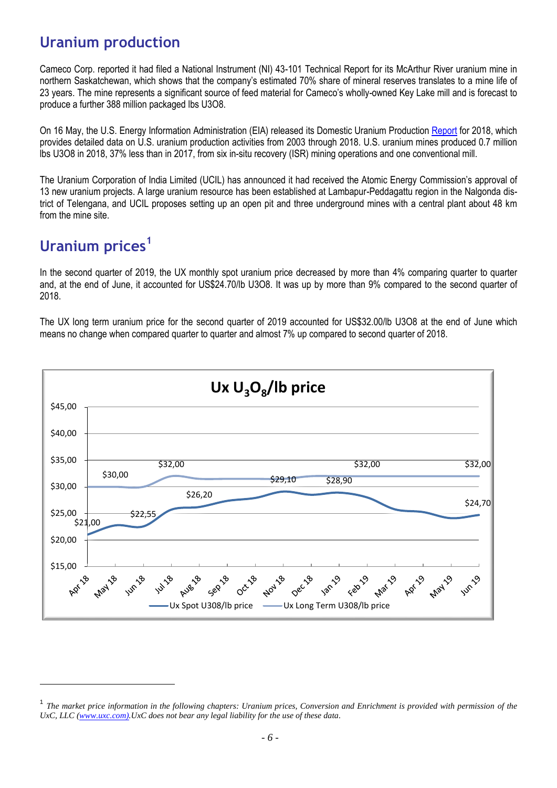### **Uranium production**

Cameco Corp. reported it had filed a National Instrument (NI) 43-101 Technical Report for its McArthur River uranium mine in northern Saskatchewan, which shows that the company's estimated 70% share of mineral reserves translates to a mine life of 23 years. The mine represents a significant source of feed material for Cameco's wholly-owned Key Lake mill and is forecast to produce a further 388 million packaged lbs U3O8.

On 16 May, the U.S. Energy Information Administration (EIA) released its Domestic Uranium Production [Report](https://www.eia.gov/uranium/production/annual/pdf/dupr.pdf) for 2018, which provides detailed data on U.S. uranium production activities from 2003 through 2018. U.S. uranium mines produced 0.7 million lbs U3O8 in 2018, 37% less than in 2017, from six in-situ recovery (ISR) mining operations and one conventional mill.

The Uranium Corporation of India Limited (UCIL) has announced it had received the Atomic Energy Commission's approval of 13 new uranium projects. A large uranium resource has been established at Lambapur-Peddagattu region in the Nalgonda district of Telengana, and UCIL proposes setting up an open pit and three underground mines with a central plant about 48 km from the mine site.

## **Uranium prices<sup>1</sup>**

l

In the second quarter of 2019, the UX monthly spot uranium price decreased by more than 4% comparing quarter to quarter and, at the end of June, it accounted for US\$24.70/lb U3O8. It was up by more than 9% compared to the second quarter of 2018.

The UX long term uranium price for the second quarter of 2019 accounted for US\$32.00/lb U3O8 at the end of June which means no change when compared quarter to quarter and almost 7% up compared to second quarter of 2018.



<sup>&</sup>lt;sup>1</sup> The market price information in the following chapters: Uranium prices, Conversion and Enrichment is provided with permission of the *UxC, LLC [\(www.uxc.com\)](http://www.uxc.com/).UxC does not bear any legal liability for the use of these data.*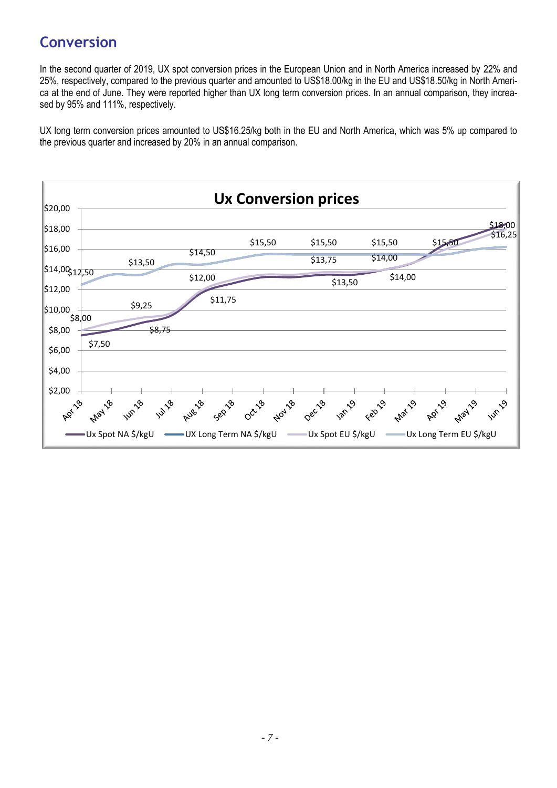### **Conversion**

In the second quarter of 2019, UX spot conversion prices in the European Union and in North America increased by 22% and 25%, respectively, compared to the previous quarter and amounted to US\$18.00/kg in the EU and US\$18.50/kg in North America at the end of June. They were reported higher than UX long term conversion prices. In an annual comparison, they increased by 95% and 111%, respectively.

UX long term conversion prices amounted to US\$16.25/kg both in the EU and North America, which was 5% up compared to the previous quarter and increased by 20% in an annual comparison.

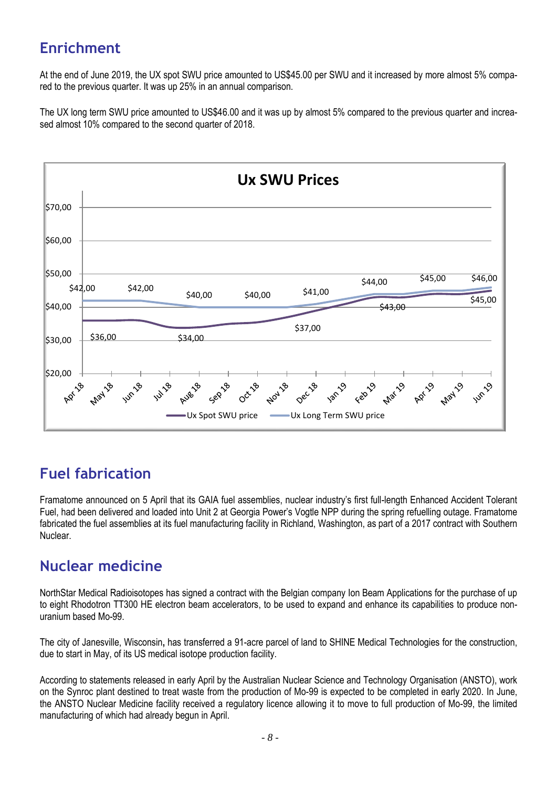# **Enrichment**

At the end of June 2019, the UX spot SWU price amounted to US\$45.00 per SWU and it increased by more almost 5% compared to the previous quarter. It was up 25% in an annual comparison.

The UX long term SWU price amounted to US\$46.00 and it was up by almost 5% compared to the previous quarter and increased almost 10% compared to the second quarter of 2018.



### **Fuel fabrication**

Framatome announced on 5 April that its GAIA fuel assemblies, nuclear industry's first full-length Enhanced Accident Tolerant Fuel, had been delivered and loaded into Unit 2 at Georgia Power's Vogtle NPP during the spring refuelling outage. Framatome fabricated the fuel assemblies at its fuel manufacturing facility in Richland, Washington, as part of a 2017 contract with Southern Nuclear.

### **Nuclear medicine**

NorthStar Medical Radioisotopes has signed a contract with the Belgian company Ion Beam Applications for the purchase of up to eight Rhodotron TT300 HE electron beam accelerators, to be used to expand and enhance its capabilities to produce nonuranium based Mo-99.

The city of Janesville, Wisconsin**,** has transferred a 91-acre parcel of land to SHINE Medical Technologies for the construction, due to start in May, of its US medical isotope production facility.

According to statements released in early April by the Australian Nuclear Science and Technology Organisation (ANSTO), work on the Synroc plant destined to treat waste from the production of Mo-99 is expected to be completed in early 2020. In June, the ANSTO Nuclear Medicine facility received a regulatory licence allowing it to move to full production of Mo-99, the limited manufacturing of which had already begun in April.